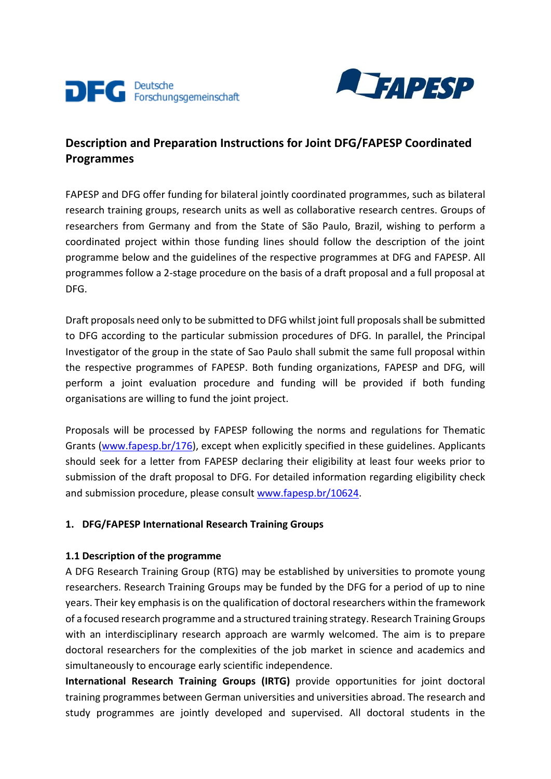



# **Description and Preparation Instructions for Joint DFG/FAPESP Coordinated Programmes**

FAPESP and DFG offer funding for bilateral jointly coordinated programmes, such as bilateral research training groups, research units as well as collaborative research centres. Groups of researchers from Germany and from the State of São Paulo, Brazil, wishing to perform a coordinated project within those funding lines should follow the description of the joint programme below and the guidelines of the respective programmes at DFG and FAPESP. All programmes follow a 2-stage procedure on the basis of a draft proposal and a full proposal at DFG.

Draft proposals need only to be submitted to DFG whilst joint full proposals shall be submitted to DFG according to the particular submission procedures of DFG. In parallel, the Principal Investigator of the group in the state of Sao Paulo shall submit the same full proposal within the respective programmes of FAPESP. Both funding organizations, FAPESP and DFG, will perform a joint evaluation procedure and funding will be provided if both funding organisations are willing to fund the joint project.

Proposals will be processed by FAPESP following the norms and regulations for Thematic Grants [\(www.fapesp.br/176\)](http://www.fapesp.br/176), except when explicitly specified in these guidelines. Applicants should seek for a letter from FAPESP declaring their eligibility at least four weeks prior to submission of the draft proposal to DFG. For detailed information regarding eligibility check and submission procedure, please consul[t www.fapesp.br/10624.](http://www.fapesp.br/10624)

# **1. DFG/FAPESP International Research Training Groups**

# **1.1 Description of the programme**

A DFG Research Training Group (RTG) may be established by universities to promote young researchers. Research Training Groups may be funded by the DFG for a period of up to nine years. Their key emphasis is on the qualification of doctoral researchers within the framework of a focused research programme and a structured training strategy. Research Training Groups with an interdisciplinary research approach are warmly welcomed. The aim is to prepare doctoral researchers for the complexities of the job market in science and academics and simultaneously to encourage early scientific independence.

**International Research Training Groups (IRTG)** provide opportunities for joint doctoral training programmes between German universities and universities abroad. The research and study programmes are jointly developed and supervised. All doctoral students in the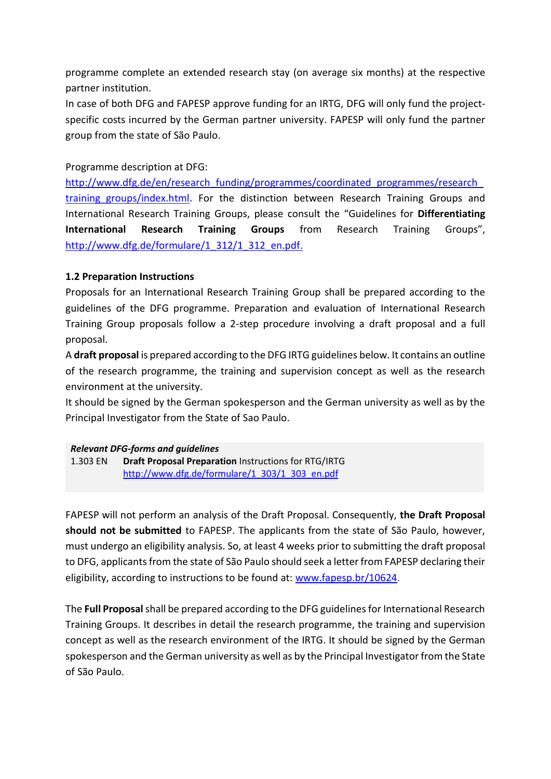programme complete an extended research stay (on average six months) at the respective partner institution.

In case of both DFG and FAPESP approve funding for an IRTG, DFG will only fund the projectspecific costs incurred by the German partner university. FAPESP will only fund the partner group from the state of São Paulo.

Programme description at DFG:

http://www.dfg.de/en/research\_funding/programmes/coordinated\_programmes/research training groups/index.html. For the distinction between Research Training Groups and International Research Training Groups, please consult the "Guidelines for **Differentiating International Research Training Groups** from Research Training Groups", [http://www.dfg.de/formulare/1\\_312/1\\_312\\_en.pdf.](http://www.dfg.de/formulare/1_312/1_312_en.pdf)

### **1.2 Preparation Instructions**

Proposals for an International Research Training Group shall be prepared according to the guidelines of the DFG programme. Preparation and evaluation of International Research Training Group proposals follow a 2-step procedure involving a draft proposal and a full proposal.

A **draft proposal** is prepared according to the DFG IRTG guidelines below. It contains an outline of the research programme, the training and supervision concept as well as the research environment at the university.

It should be signed by the German spokesperson and the German university as well as by the Principal Investigator from the State of Sao Paulo.

### *Relevant DFG-forms and guidelines*

1.303 EN **Draft Proposal Preparation** Instructions for RTG/IRTG [http://www.dfg.de/formulare/1\\_303/1\\_303\\_en.pdf](http://www.dfg.de/formulare/1_303/1_303_en.pdf)

FAPESP will not perform an analysis of the Draft Proposal. Consequently, **the Draft Proposal should not be submitted** to FAPESP. The applicants from the state of São Paulo, however, must undergo an eligibility analysis. So, at least 4 weeks prior to submitting the draft proposal to DFG, applicants from the state of São Paulo should seek a letter from FAPESP declaring their eligibility, according to instructions to be found at: [www.fapesp.br/10624](http://www.fapesp.br/10624).

The **Full Proposal**shall be prepared according to the DFG guidelines for International Research Training Groups. It describes in detail the research programme, the training and supervision concept as well as the research environment of the IRTG. It should be signed by the German spokesperson and the German university as well as by the Principal Investigator from the State of São Paulo.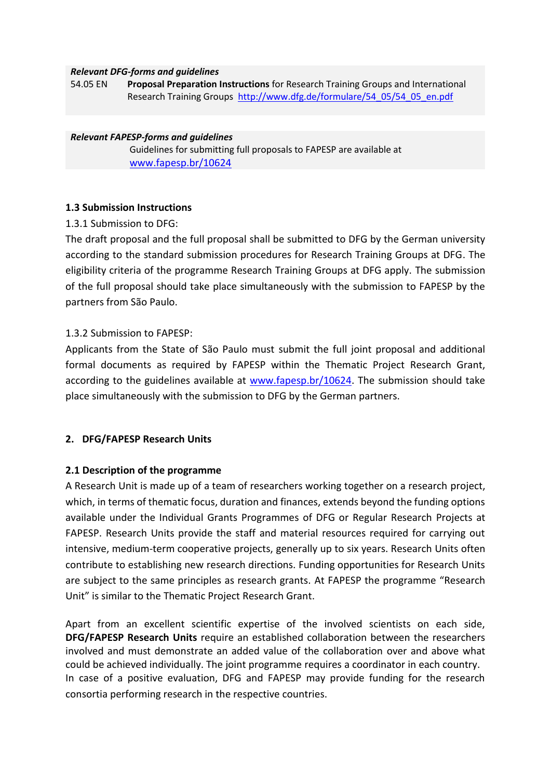#### *Relevant DFG-forms and guidelines*

54.05 EN **Proposal Preparation Instructions** for Research Training Groups and International Research Training Groups [http://www.dfg.de/formulare/54\\_05/54\\_05\\_en.pdf](http://www.dfg.de/formulare/54_05/54_05_en.pdf)

#### *Relevant FAPESP-forms and guidelines*

Guidelines for submitting full proposals to FAPESP are available at [www.fapesp.br/10624](http://www.fapesp.br/10624)

#### **1.3 Submission Instructions**

1.3.1 Submission to DFG:

The draft proposal and the full proposal shall be submitted to DFG by the German university according to the standard submission procedures for Research Training Groups at DFG. The eligibility criteria of the programme Research Training Groups at DFG apply. The submission of the full proposal should take place simultaneously with the submission to FAPESP by the partners from São Paulo.

#### 1.3.2 Submission to FAPESP:

Applicants from the State of São Paulo must submit the full joint proposal and additional formal documents as required by FAPESP within the Thematic Project Research Grant, according to the guidelines available at [www.fapesp.br/10624.](http://www.fapesp.br/10624) The submission should take place simultaneously with the submission to DFG by the German partners.

### **2. DFG/FAPESP Research Units**

#### **2.1 Description of the programme**

A Research Unit is made up of a team of researchers working together on a research project, which, in terms of thematic focus, duration and finances, extends beyond the funding options available under the Individual Grants Programmes of DFG or Regular Research Projects at FAPESP. Research Units provide the staff and material resources required for carrying out intensive, medium-term cooperative projects, generally up to six years. Research Units often contribute to establishing new research directions. Funding opportunities for Research Units are subject to the same principles as research grants. At FAPESP the programme "Research Unit" is similar to the Thematic Project Research Grant.

Apart from an excellent scientific expertise of the involved scientists on each side, **DFG/FAPESP Research Units** require an established collaboration between the researchers involved and must demonstrate an added value of the collaboration over and above what could be achieved individually. The joint programme requires a coordinator in each country. In case of a positive evaluation, DFG and FAPESP may provide funding for the research consortia performing research in the respective countries.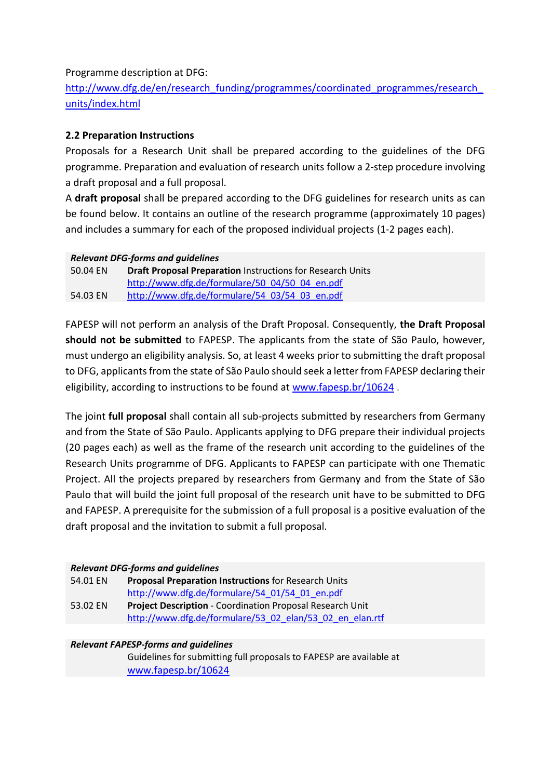Programme description at DFG:

http://www.dfg.de/en/research\_funding/programmes/coordinated\_programmes/research [units/index.html](http://www.dfg.de/en/research_funding/programmes/coordinated_programmes/research_units/index.html)

# **2.2 Preparation Instructions**

Proposals for a Research Unit shall be prepared according to the guidelines of the DFG programme. Preparation and evaluation of research units follow a 2-step procedure involving a draft proposal and a full proposal.

A **draft proposal** shall be prepared according to the DFG guidelines for research units as can be found below. It contains an outline of the research programme (approximately 10 pages) and includes a summary for each of the proposed individual projects (1-2 pages each).

### *Relevant DFG-forms and guidelines*

| 50.04 EN | <b>Draft Proposal Preparation Instructions for Research Units</b> |
|----------|-------------------------------------------------------------------|
|          | http://www.dfg.de/formulare/50 04/50 04 en.pdf                    |
| 54.03 EN | http://www.dfg.de/formulare/54 03/54 03 en.pdf                    |

FAPESP will not perform an analysis of the Draft Proposal. Consequently, **the Draft Proposal should not be submitted** to FAPESP. The applicants from the state of São Paulo, however, must undergo an eligibility analysis. So, at least 4 weeks prior to submitting the draft proposal to DFG, applicants from the state of São Paulo should seek a letter from FAPESP declaring their eligibility, according to instructions to be found at [www.fapesp.br/10624](http://www.fapesp.br/10624) .

The joint **full proposal** shall contain all sub-projects submitted by researchers from Germany and from the State of São Paulo. Applicants applying to DFG prepare their individual projects (20 pages each) as well as the frame of the research unit according to the guidelines of the Research Units programme of DFG. Applicants to FAPESP can participate with one Thematic Project. All the projects prepared by researchers from Germany and from the State of São Paulo that will build the joint full proposal of the research unit have to be submitted to DFG and FAPESP. A prerequisite for the submission of a full proposal is a positive evaluation of the draft proposal and the invitation to submit a full proposal.

### *Relevant DFG-forms and guidelines*

| 54.01 EN | <b>Proposal Preparation Instructions for Research Units</b>      |
|----------|------------------------------------------------------------------|
|          | http://www.dfg.de/formulare/54 01/54 01 en.pdf                   |
| 53.02 EN | <b>Project Description - Coordination Proposal Research Unit</b> |
|          | http://www.dfg.de/formulare/53 02 elan/53 02 en elan.rtf         |

### *Relevant FAPESP-forms and guidelines*

Guidelines for submitting full proposals to FAPESP are available at [www.fapesp.br/10624](http://www.fapesp.br/10624)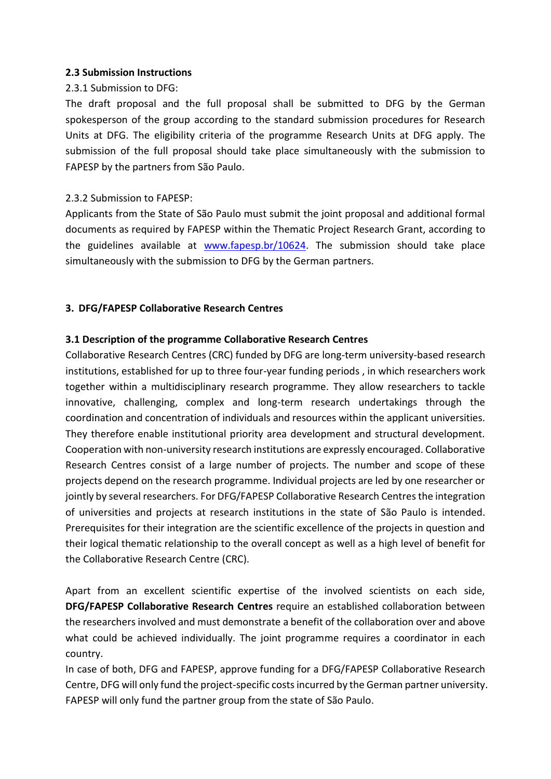### **2.3 Submission Instructions**

# 2.3.1 Submission to DFG:

The draft proposal and the full proposal shall be submitted to DFG by the German spokesperson of the group according to the standard submission procedures for Research Units at DFG. The eligibility criteria of the programme Research Units at DFG apply. The submission of the full proposal should take place simultaneously with the submission to FAPESP by the partners from São Paulo.

# 2.3.2 Submission to FAPESP:

Applicants from the State of São Paulo must submit the joint proposal and additional formal documents as required by FAPESP within the Thematic Project Research Grant, according to the guidelines available at [www.fapesp.br/10624.](http://www.fapesp.br/10624) The submission should take place simultaneously with the submission to DFG by the German partners.

# **3. DFG/FAPESP Collaborative Research Centres**

# **3.1 Description of the programme Collaborative Research Centres**

Collaborative Research Centres (CRC) funded by DFG are long-term university-based research institutions, established for up to three four-year funding periods , in which researchers work together within a multidisciplinary research programme. They allow researchers to tackle innovative, challenging, complex and long-term research undertakings through the coordination and concentration of individuals and resources within the applicant universities. They therefore enable institutional priority area development and structural development. Cooperation with non-university research institutions are expressly encouraged. Collaborative Research Centres consist of a large number of projects. The number and scope of these projects depend on the research programme. Individual projects are led by one researcher or jointly by several researchers. For DFG/FAPESP Collaborative Research Centres the integration of universities and projects at research institutions in the state of São Paulo is intended. Prerequisites for their integration are the scientific excellence of the projects in question and their logical thematic relationship to the overall concept as well as a high level of benefit for the Collaborative Research Centre (CRC).

Apart from an excellent scientific expertise of the involved scientists on each side, **DFG/FAPESP Collaborative Research Centres** require an established collaboration between the researchers involved and must demonstrate a benefit of the collaboration over and above what could be achieved individually. The joint programme requires a coordinator in each country.

In case of both, DFG and FAPESP, approve funding for a DFG/FAPESP Collaborative Research Centre, DFG will only fund the project-specific costs incurred by the German partner university. FAPESP will only fund the partner group from the state of São Paulo.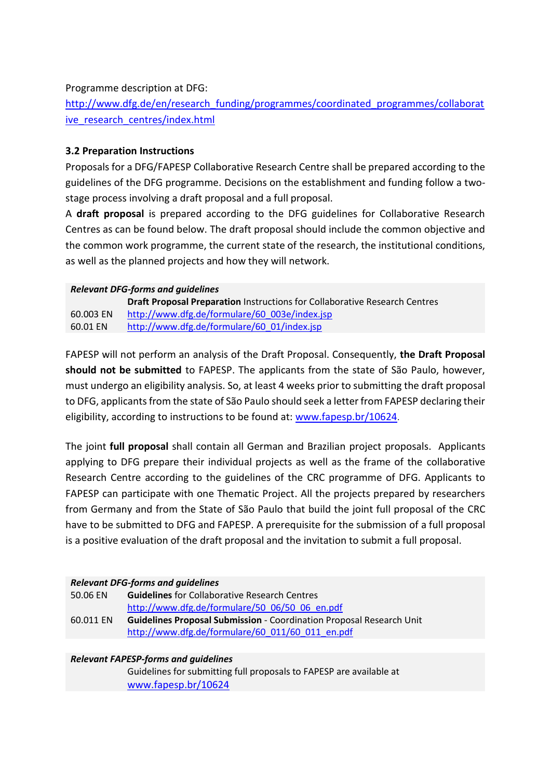### Programme description at DFG:

[http://www.dfg.de/en/research\\_funding/programmes/coordinated\\_programmes/collaborat](http://www.dfg.de/en/research_funding/programmes/coordinated_programmes/collaborative_research_centres/index.html) ive research centres/index.html

# **3.2 Preparation Instructions**

Proposals for a DFG/FAPESP Collaborative Research Centre shall be prepared according to the guidelines of the DFG programme. Decisions on the establishment and funding follow a twostage process involving a draft proposal and a full proposal.

A **draft proposal** is prepared according to the DFG guidelines for Collaborative Research Centres as can be found below. The draft proposal should include the common objective and the common work programme, the current state of the research, the institutional conditions, as well as the planned projects and how they will network.

#### *Relevant DFG-forms and guidelines*

60.003 EN **Draft Proposal Preparation** Instructions for Collaborative Research Centres [http://www.dfg.de/formulare/60\\_003e/index.jsp](http://www.dfg.de/formulare/60_003e/index.jsp) 60.01 EN [http://www.dfg.de/formulare/60\\_01/index.jsp](http://www.dfg.de/formulare/60_01/index.jsp)

FAPESP will not perform an analysis of the Draft Proposal. Consequently, **the Draft Proposal should not be submitted** to FAPESP. The applicants from the state of São Paulo, however, must undergo an eligibility analysis. So, at least 4 weeks prior to submitting the draft proposal to DFG, applicants from the state of São Paulo should seek a letter from FAPESP declaring their eligibility, according to instructions to be found at: [www.fapesp.br/10624](http://www.fapesp.br/10624).

The joint **full proposal** shall contain all German and Brazilian project proposals. Applicants applying to DFG prepare their individual projects as well as the frame of the collaborative Research Centre according to the guidelines of the CRC programme of DFG. Applicants to FAPESP can participate with one Thematic Project. All the projects prepared by researchers from Germany and from the State of São Paulo that build the joint full proposal of the CRC have to be submitted to DFG and FAPESP. A prerequisite for the submission of a full proposal is a positive evaluation of the draft proposal and the invitation to submit a full proposal.

### *Relevant DFG-forms and guidelines*

| 50.06 EN  | <b>Guidelines</b> for Collaborative Research Centres                        |
|-----------|-----------------------------------------------------------------------------|
|           | http://www.dfg.de/formulare/50 06/50 06 en.pdf                              |
| 60.011 EN | <b>Guidelines Proposal Submission - Coordination Proposal Research Unit</b> |
|           | http://www.dfg.de/formulare/60 011/60 011 en.pdf                            |

### *Relevant FAPESP-forms and guidelines*

Guidelines for submitting full proposals to FAPESP are available at [www.fapesp.br/10624](http://www.fapesp.br/10624)